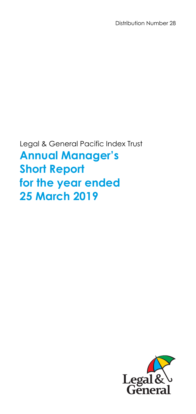Distribution Number 28

Legal & General Pacific Index Trust **Annual Manager's Short Report for the year ended 25 March 2019** 

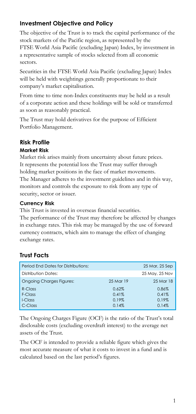# **Investment Objective and Policy**

The objective of the Trust is to track the capital performance of the stock markets of the Pacific region, as represented by the FTSE World Asia Pacific (excluding Japan) Index, by investment in a representative sample of stocks selected from all economic sectors.

Securities in the FTSE World Asia Pacific (excluding Japan) Index will be held with weightings generally proportionate to their company's market capitalisation.

From time to time non-Index constituents may be held as a result of a corporate action and these holdings will be sold or transferred as soon as reasonably practical.

The Trust may hold derivatives for the purpose of Efficient Portfolio Management.

## **Risk Profile**

### **Market Risk**

Market risk arises mainly from uncertainty about future prices. It represents the potential loss the Trust may suffer through holding market positions in the face of market movements. The Manager adheres to the investment guidelines and in this way, monitors and controls the exposure to risk from any type of security, sector or issuer.

### **Currency Risk**

This Trust is invested in overseas financial securities. The performance of the Trust may therefore be affected by changes in exchange rates. This risk may be managed by the use of forward currency contracts, which aim to manage the effect of changing exchange rates.

# **Trust Facts**

| Period End Dates for Distributions: |           | 25 Mar, 25 Sep |
|-------------------------------------|-----------|----------------|
| <b>Distribution Dates:</b>          |           | 25 May, 25 Nov |
| <b>Ongoing Charges Figures:</b>     | 25 Mar 19 | 25 Mar 18      |
| $R$ -Class                          | 0.62%     | 0.86%          |
| F-Class                             | 0.41%     | 0.41%          |
| I-Class                             | 0.19%     | 0.19%          |
| C-Class                             | 0.14%     | 0.14%          |

The Ongoing Charges Figure (OCF) is the ratio of the Trust's total disclosable costs (excluding overdraft interest) to the average net assets of the Trust.

The OCF is intended to provide a reliable figure which gives the most accurate measure of what it costs to invest in a fund and is calculated based on the last period's figures.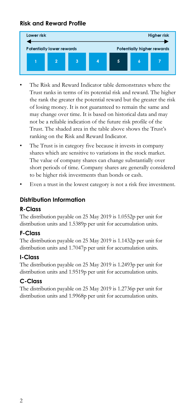# **Risk and Reward Profile**



- The Risk and Reward Indicator table demonstrates where the Trust ranks in terms of its potential risk and reward. The higher the rank the greater the potential reward but the greater the risk of losing money. It is not guaranteed to remain the same and may change over time. It is based on historical data and may not be a reliable indication of the future risk profile of the Trust. The shaded area in the table above shows the Trust's ranking on the Risk and Reward Indicator.
- The Trust is in category five because it invests in company shares which are sensitive to variations in the stock market. The value of company shares can change substantially over short periods of time. Company shares are generally considered to be higher risk investments than bonds or cash.
- Even a trust in the lowest category is not a risk free investment.

# **Distribution Information**

## **R-Class**

The distribution payable on 25 May 2019 is 1.0552p per unit for distribution units and 1.5389p per unit for accumulation units.

## **F-Class**

The distribution payable on 25 May 2019 is 1.1432p per unit for distribution units and 1.7047p per unit for accumulation units.

## **I-Class**

The distribution payable on 25 May 2019 is 1.2493p per unit for distribution units and 1.9519p per unit for accumulation units.

# **C-Class**

The distribution payable on 25 May 2019 is 1.2736p per unit for distribution units and 1.9968p per unit for accumulation units.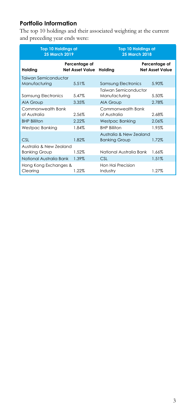# **Portfolio Information**

The top 10 holdings and their associated weighting at the current and preceding year ends were:

| <b>Top 10 Holdings at</b><br><b>25 March 2019</b> |                                         | <b>Top 10 Holdings at</b><br><b>25 March 2018</b> |                                  |  |
|---------------------------------------------------|-----------------------------------------|---------------------------------------------------|----------------------------------|--|
| Holding                                           | Percentage of<br><b>Net Asset Value</b> | Holdina                                           | Percentage of<br>Net Asset Value |  |
| Taiwan Semiconductor<br>Manufacturing             | 5.51%                                   | Samsung Electronics                               | 5.90%                            |  |
| Samsung Electronics                               | 5.47%                                   | Taiwan Semiconductor<br>Manufacturing             | 5.50%                            |  |
| AIA Group                                         | 3.35%                                   | AIA Group                                         | 2.78%                            |  |
| Commonwealth Bank<br>of Australia                 | 2.56%                                   | Commonwealth Bank<br>of Australia                 | 2.68%                            |  |
| <b>BHP Billiton</b>                               | 2.22%                                   | Westpac Banking                                   | 2.06%                            |  |
| Westpac Banking                                   | 1.84%                                   | <b>RHP Rilliton</b>                               | 1.95%                            |  |
| CSI                                               | 1.82%                                   | Australia & New Zealand<br><b>Banking Group</b>   | 1.72%                            |  |
| Australia & New Zealand<br><b>Banking Group</b>   | 1.52%                                   | National Australia Bank                           | 1.66%                            |  |
| National Australia Bank                           | 1.39%                                   | <b>CSL</b>                                        | 1.51%                            |  |
| Hong Kong Exchanges &<br>Clearing                 | 1.22%                                   | Hon Hai Precision<br>Industry                     | 1.27%                            |  |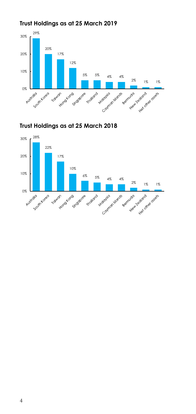

# **Trust Holdings as at 25 March 2019**

**Trust Holdings as at 25 March 2018** 

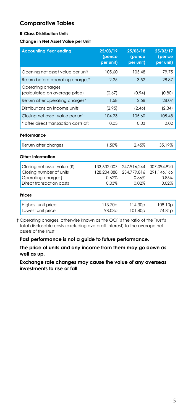## **Comparative Tables**

### **R-Class Distribution Units**

#### **Change in Net Asset Value per Unit**

| <b>Accounting Year ending</b>                      | 25/03/19<br>(pence<br>per unit) | 25/03/18<br>(pence<br>per unit) | 25/03/17<br>(pence<br>per unit) |
|----------------------------------------------------|---------------------------------|---------------------------------|---------------------------------|
| Opening net asset value per unit                   | 105.60                          | 105.48                          | 79.75                           |
| Return before operating charges*                   | 2.25                            | 3.52                            | 28.87                           |
| Operating charges<br>(calculated on average price) | (0.67)                          | (0.94)                          | (0.80)                          |
| Return after operating charges*                    | 1.58                            | 2.58                            | 28.07                           |
| Distributions on income units                      | (2.95)                          | (2.46)                          | (2.34)                          |
| Closing net asset value per unit                   | 104.23                          | 105.60                          | 105.48                          |
| * after direct transaction costs of:               | 0.03                            | 0.03                            | 0.02                            |
| Performance                                        |                                 |                                 |                                 |
| Return after charges                               | 1.50%                           | 2.45%                           | 35.19%                          |
| Other Information                                  |                                 |                                 |                                 |
| Closing net asset value $f(x)$                     | 133,632,007                     | 247.916.244                     | 307.094.920                     |
| Closing number of units                            | 128.204.888                     | 234.779.816                     | 291.146.166                     |
| Operating chargest<br>Direct transaction costs     | $0.62\%$<br>0.03%               | 0.86%<br>0.02%                  | 0.86%                           |
|                                                    |                                 |                                 | 0.02%                           |
| <b>Prices</b>                                      |                                 |                                 |                                 |
| Highest unit price                                 | 113.70p                         | 114.30 <sub>p</sub>             | 108.10 <sub>p</sub>             |
| Lowest unit price                                  | 98.03p                          | 101.40p                         | 74.81p                          |

 † Operating charges, otherwise known as the OCF is the ratio of the Trust's total disclosable costs (excluding overdraft interest) to the average net assets of the Trust.

### **Past performance is not a guide to future performance.**

**The price of units and any income from them may go down as well as up.**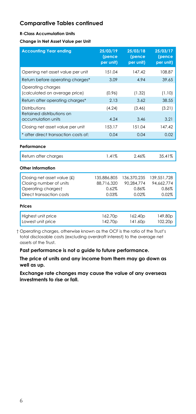#### **R-Class Accumulation Units**

#### **Change in Net Asset Value per Unit**

| <b>Accounting Year ending</b>                      | 25/03/19<br>(pence<br>per unit) | 25/03/18<br>(pence<br>per unit) | 25/03/17<br>(pence<br>per unit) |
|----------------------------------------------------|---------------------------------|---------------------------------|---------------------------------|
| Opening net asset value per unit                   | 151.04                          | 147.42                          | 108.87                          |
| Return before operating charges*                   | 3.09                            | 4.94                            | 39.65                           |
| Operating charges<br>(calculated on average price) | (0.96)                          | (1.32)                          | (1.10)                          |
| Return after operating charges*                    | 2.13                            | 3.62                            | 38.55                           |
| Distributions                                      | (4.24)                          | (3.46)                          | (3.21)                          |
| Retained distributions on<br>accumulation units    | 4.24                            | 3.46                            | 3.21                            |
| Closing net asset value per unit                   | 153.17                          | 151.04                          | 147.42                          |
| * after direct transaction costs of:               | 0.04                            | 0.04                            | 0.02                            |
| Performance                                        |                                 |                                 |                                 |
| Return after charges                               | 1.41%                           | 2.46%                           | 35.41%                          |
| Other Information                                  |                                 |                                 |                                 |
| Closing net asset value (£)                        | 135.886.805                     | 136.370.235                     | 139.551.728                     |
| Closing number of units                            | 88.716.320                      | 90.284.774                      | 94.662.774                      |
| Operating chargest                                 | 0.62%                           | 0.86%                           | 0.86%                           |
| Direct transaction costs                           | 0.03%                           | 0.02%                           | 0.02%                           |
| <b>Prices</b>                                      |                                 |                                 |                                 |
| Highest unit price<br>Lowest unit price            | 162.70p<br>142.70p              | 162.40 <sub>p</sub><br>141.60p  | 149.80 <sub>p</sub><br>102.20p  |

 † Operating charges, otherwise known as the OCF is the ratio of the Trust's total disclosable costs (excluding overdraft interest) to the average net assets of the Trust.

**Past performance is not a guide to future performance.** 

**The price of units and any income from them may go down as well as up.**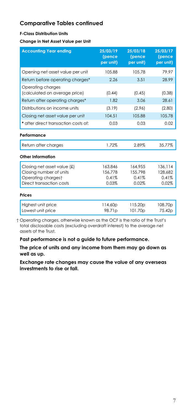#### **F-Class Distribution Units**

**Change in Net Asset Value per Unit** 

| <b>Accounting Year ending</b>                      | 25/03/19<br>(pence<br>per unit) | 25/03/18<br>(pence<br>per unit) | 25/03/17<br>(pence<br>per unit) |
|----------------------------------------------------|---------------------------------|---------------------------------|---------------------------------|
| Opening net asset value per unit                   | 105.88                          | 105.78                          | 79.97                           |
| Return before operating charges*                   | 2.26                            | 3.51                            | 28.99                           |
| Operating charges<br>(calculated on average price) | (0.44)                          | (0.45)                          | (0.38)                          |
| Return after operating charges*                    | 1.82                            | 3.06                            | 28.61                           |
| Distributions on income units                      | (3.19)                          | (2.96)                          | (2.80)                          |
| Closing net asset value per unit                   | 104.51                          | 105.88                          | 105.78                          |
| * after direct transaction costs of:               | 0.03                            | 0.03                            | 0.02                            |
| Performance                                        |                                 |                                 |                                 |
| Return after charges                               | 1.72%                           | 2.89%                           | 35.77%                          |
| Other Information                                  |                                 |                                 |                                 |
| Closing net asset value (£)                        | 163.846                         | 164,955                         | 136.114                         |
| Closing number of units<br>Operating chargest      | 156,778<br>0.41%                | 155,798<br>0.41%                | 128.682<br>0.41%                |
| Direct transaction costs                           | 0.03%                           | 0.02%                           | 0.02%                           |
| <b>Prices</b>                                      |                                 |                                 |                                 |
| Highest unit price<br>Lowest unit price            | 114.60p<br>98.71p               | 115.20p<br>101.70p              | 108.70p<br>75.42p               |
|                                                    |                                 |                                 |                                 |

 † Operating charges, otherwise known as the OCF is the ratio of the Trust's total disclosable costs (excluding overdraft interest) to the average net assets of the Trust.

**Past performance is not a guide to future performance.** 

**The price of units and any income from them may go down as well as up.**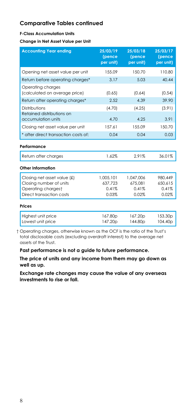#### **F-Class Accumulation Units**

**Change in Net Asset Value per Unit** 

| <b>Accounting Year ending</b>                      | 25/03/19<br>(pence<br>per unit) | 25/03/18<br>(pence<br>per unit) | 25/03/17<br>(pence<br>per unit) |
|----------------------------------------------------|---------------------------------|---------------------------------|---------------------------------|
| Opening net asset value per unit                   | 155.09                          | 150.70                          | 110.80                          |
| Return before operating charges*                   | 3.17                            | 5.03                            | 40.44                           |
| Operating charges<br>(calculated on average price) | (0.65)                          | (0.64)                          | (0.54)                          |
| Return after operating charges*                    | 2.52                            | 4.39                            | 39.90                           |
| Distributions                                      | (4.70)                          | (4.25)                          | (3.91)                          |
| Retained distributions on<br>accumulation units    | 4.70                            | 4.25                            | 3.91                            |
| Closing net asset value per unit                   | 157.61                          | 155.09                          | 150.70                          |
| * after direct transaction costs of:               | 0.04                            | 0.04                            | 0.03                            |
| Performance                                        |                                 |                                 |                                 |
| Return after charges                               | 1.62%                           | 2.91%                           | 36.01%                          |
| Other Information                                  |                                 |                                 |                                 |
| Closing net asset value (£)                        | 1.005.101                       | 1.047.006                       | 980.449                         |
| Closing number of units                            | 637.723                         | 675.081                         | 650.615                         |
| Operating chargest                                 | 0.41%                           | 0.41%                           | 0.41%                           |
| Direct transaction costs                           | 0.03%                           | 0.02%                           | 0.02%                           |
| Prices                                             |                                 |                                 |                                 |
| Highest unit price<br>Lowest unit price            | 167.80p<br>147.20p              | 167.20p<br>144.80p              | 153.30p<br>104.40p              |

 † Operating charges, otherwise known as the OCF is the ratio of the Trust's total disclosable costs (excluding overdraft interest) to the average net assets of the Trust.

**Past performance is not a guide to future performance.** 

**The price of units and any income from them may go down as well as up.**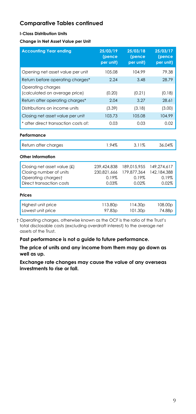### **I-Class Distribution Units**

**Change in Net Asset Value per Unit** 

| <b>Accounting Year ending</b>                          | 25/03/19<br>(pence<br>per unit) | 25/03/18<br>(pence<br>per unit) | 25/03/17<br>(pence<br>per unit) |
|--------------------------------------------------------|---------------------------------|---------------------------------|---------------------------------|
| Opening net asset value per unit                       | 105.08                          | 104.99                          | 79.38                           |
| Return before operating charges*                       | 2.24                            | 3.48                            | 28.79                           |
| Operating charges<br>(calculated on average price)     | (0.20)                          | (0.21)                          | (0.18)                          |
| Return after operating charges*                        | 2.04                            | 3.27                            | 28.61                           |
| Distributions on income units                          | (3.39)                          | (3.18)                          | (3.00)                          |
| Closing net asset value per unit                       | 103.73                          | 105.08                          | 104.99                          |
| * after direct transaction costs of:                   | 0.03                            | 0.03                            | 0.02                            |
| Performance                                            |                                 |                                 |                                 |
| Return after charges                                   | 1.94%                           | 3.11%                           | 36.04%                          |
| Other Information                                      |                                 |                                 |                                 |
| Closing net asset value (£)<br>Closing number of units | 239,424,838<br>230.821.666      | 189.015.955<br>179.877.364      | 149.274.617<br>142.184.388      |
| Operating chargest                                     | 0.19%                           | 0.19%                           | 0.19%                           |
| Direct transaction costs                               | 0.03%                           | 0.02%                           | 0.02%                           |
| <b>Prices</b>                                          |                                 |                                 |                                 |
| Highest unit price                                     | 113.80p                         | 114.30 <sub>p</sub>             | 108.00p                         |
| Lowest unit price                                      | 97.83 <sub>p</sub>              | 101.30 <sub>p</sub>             | 74.88 <sub>D</sub>              |

 † Operating charges, otherwise known as the OCF is the ratio of the Trust's total disclosable costs (excluding overdraft interest) to the average net assets of the Trust.

**Past performance is not a guide to future performance.** 

**The price of units and any income from them may go down as well as up.**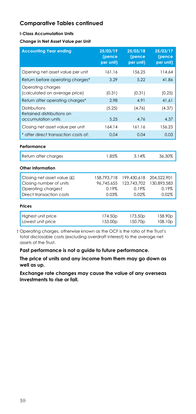#### **I-Class Accumulation Units**

**Change in Net Asset Value per Unit** 

| 25/03/19<br>(pence<br>per unit)            | 25/03/18<br>(pence<br>per unit) | 25/03/17<br>(pence<br>per unit) |
|--------------------------------------------|---------------------------------|---------------------------------|
| 161.16                                     | 156.25                          | 114.64                          |
| 3.29                                       | 5.22                            | 41.86                           |
| (0.31)                                     | (0.31)                          | (0.25)                          |
| 2.98                                       | 4.91                            | 41.61                           |
| (5.25)                                     | (4.76)                          | (4.37)                          |
| 5.25                                       | 4.76                            | 4.37                            |
| 164.14                                     | 161.16                          | 156.25                          |
| 0.04                                       | 0.04                            | 0.03                            |
|                                            |                                 |                                 |
| 1.85%                                      | 3.14%                           | 36.30%                          |
|                                            |                                 |                                 |
| 158,793,718                                | 199,430,618                     | 204,522,901                     |
| 96.745.655                                 | 123.743.702                     | 130.893.583                     |
|                                            |                                 | 0.19%                           |
|                                            |                                 | 0.02%                           |
|                                            |                                 |                                 |
| 174.50 <sub>p</sub><br>153.00 <sub>p</sub> | 173.50p<br>150.70p              | 158,90 <sub>p</sub><br>108.10p  |
|                                            | 0.19%<br>0.03%                  | 0.19%<br>0.02%                  |

 † Operating charges, otherwise known as the OCF is the ratio of the Trust's total disclosable costs (excluding overdraft interest) to the average net assets of the Trust.

**Past performance is not a guide to future performance.** 

**The price of units and any income from them may go down as well as up.**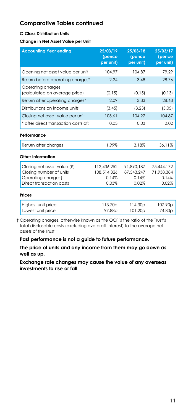### **C-Class Distribution Units**

**Change in Net Asset Value per Unit** 

| <b>Accounting Year ending</b>                                                                            | 25/03/19<br>(pence<br>per unit)              | 25/03/18<br>(pence<br>per unit)            | 25/03/17<br>(pence<br>per unit)            |
|----------------------------------------------------------------------------------------------------------|----------------------------------------------|--------------------------------------------|--------------------------------------------|
| Opening net asset value per unit                                                                         | 104.97                                       | 104.87                                     | 79.29                                      |
| Return before operating charges*                                                                         | 2.24                                         | 3.48                                       | 28.76                                      |
| Operating charges<br>(calculated on average price)                                                       | (0.15)                                       | (0.15)                                     | (0.13)                                     |
| Return after operating charges*                                                                          | 2.09                                         | 3.33                                       | 28.63                                      |
| Distributions on income units                                                                            | (3.45)                                       | (3.23)                                     | (3.05)                                     |
| Closing net asset value per unit                                                                         | 103.61                                       | 104.97                                     | 104.87                                     |
| * after direct transaction costs of:                                                                     | 0.03                                         | 0.03                                       | 0.02                                       |
| Performance                                                                                              |                                              |                                            |                                            |
| Return after charges                                                                                     | 1.99%                                        | 3.18%                                      | 36.11%                                     |
| Other Information                                                                                        |                                              |                                            |                                            |
| Closing net asset value (£)<br>Closing number of units<br>Operating chargest<br>Direct transaction costs | 112,436,252<br>108,514,326<br>0.14%<br>0.03% | 91.890.187<br>87.543.247<br>0.14%<br>0.02% | 75.444.172<br>71.938.384<br>0.14%<br>0.02% |
| <b>Prices</b>                                                                                            |                                              |                                            |                                            |
| Highest unit price<br>Lowest unit price                                                                  | 113.70p<br>97.88 <sub>p</sub>                | 114.30 <sub>p</sub><br>101.20 <sub>p</sub> | 107.90p<br>74.80 <sub>p</sub>              |

 † Operating charges, otherwise known as the OCF is the ratio of the Trust's total disclosable costs (excluding overdraft interest) to the average net assets of the Trust.

**Past performance is not a guide to future performance.** 

**The price of units and any income from them may go down as well as up.**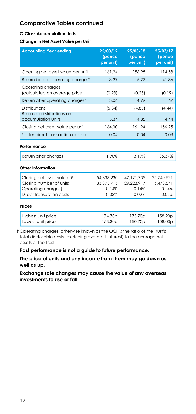#### **C-Class Accumulation Units**

**Change in Net Asset Value per Unit** 

| <b>Accounting Year ending</b>                                                                            | 25/03/19<br>(pence<br>per unit)            | 25/03/18<br>(pence<br>per unit)              | 25/03/17<br>(pence<br>per unit)            |
|----------------------------------------------------------------------------------------------------------|--------------------------------------------|----------------------------------------------|--------------------------------------------|
| Opening net asset value per unit                                                                         | 161.24                                     | 156.25                                       | 114.58                                     |
| Return before operating charges*                                                                         | 3.29                                       | 5.22                                         | 41.86                                      |
| Operating charges<br>(calculated on average price)                                                       | (0.23)                                     | (0.23)                                       | (0.19)                                     |
| Return after operating charges*                                                                          | 3.06                                       | 4.99                                         | 41.67                                      |
| Distributions                                                                                            | (5.34)                                     | (4.85)                                       | (4.44)                                     |
| Retained distributions on<br>accumulation units                                                          | 5.34                                       | 4.85                                         | 4.44                                       |
| Closing net asset value per unit                                                                         | 164.30                                     | 161 24                                       | 156.25                                     |
| * after direct transaction costs of:                                                                     | 0.04                                       | 0.04                                         | 0.03                                       |
| Performance                                                                                              |                                            |                                              |                                            |
| Return after charges                                                                                     | 1.90%                                      | 3.19%                                        | 36.37%                                     |
| Other Information                                                                                        |                                            |                                              |                                            |
| Closing net asset value (£)<br>Closing number of units<br>Operating chargest<br>Direct transaction costs | 54,833,230<br>33.373.716<br>0.14%<br>0.03% | 47, 121, 735<br>29.223.917<br>0.14%<br>0.02% | 25,740,521<br>16.473.541<br>0.14%<br>0.02% |
| <b>Prices</b>                                                                                            |                                            |                                              |                                            |
| Highest unit price<br>Lowest unit price                                                                  | 174.70 <sub>p</sub><br>153.30 <sub>p</sub> | 173.70 <sub>p</sub><br>150.70p               | 158.90 <sub>p</sub><br>108.00p             |

 † Operating charges, otherwise known as the OCF is the ratio of the Trust's total disclosable costs (excluding overdraft interest) to the average net assets of the Trust.

**Past performance is not a guide to future performance.** 

**The price of units and any income from them may go down as well as up.**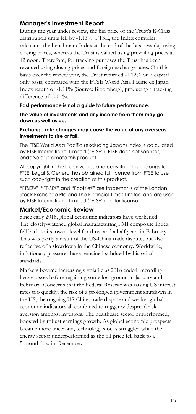## **Manager's Investment Report**

During the year under review, the bid price of the Trust's R-Class distribution units fell by -1.13%. FTSE, the Index compiler, calculates the benchmark Index at the end of the business day using closing prices, whereas the Trust is valued using prevailing prices at 12 noon. Therefore, for tracking purposes the Trust has been revalued using closing prices and foreign exchange rates. On this basis over the review year, the Trust returned -1.12% on a capital only basis, compared with the FTSE World Asia Pacific ex Japan Index return of -1.11% (Source: Bloomberg), producing a tracking difference of -0.01%.

### **Past performance is not a guide to future performance.**

**The value of investments and any income from them may go down as well as up.** 

### **Exchange rate changes may cause the value of any overseas investments to rise or fall.**

The FTSE World Asia Pacific (excluding Japan) Index is calculated by FTSE International Limited ("FTSE"). FTSE does not sponsor, endorse or promote this product.

All copyright in the Index values and constituent list belongs to FTSE. Legal & General has obtained full licence from FTSE to use such copyright in the creation of this product.

"FTSETM", "FT-SE®" and "Footsie®" are trademarks of the London Stock Exchange Plc and The Financial Times Limited and are used by FTSE International Limited ("FTSE") under license.

### **Market/Economic Review**

Since early 2018, global economic indicators have weakened. The closely-watched global manufacturing PMI composite Index fell back to its lowest level for three and a half years in February. This was partly a result of the US-China trade dispute, but also reflective of a slowdown in the Chinese economy. Worldwide, inflationary pressures have remained subdued by historical standards.

Markets became increasingly volatile as 2018 ended, recording heavy losses before regaining some lost ground in January and February. Concerns that the Federal Reserve was raising US interest rates too quickly, the risk of a prolonged government shutdown in the US, the ongoing US-China trade dispute and weaker global economic indicators all combined to trigger widespread risk aversion amongst investors. The healthcare sector outperformed, boosted by robust earnings growth. As global economic prospects became more uncertain, technology stocks struggled while the energy sector underperformed as the oil price fell back to a 5-month low in December.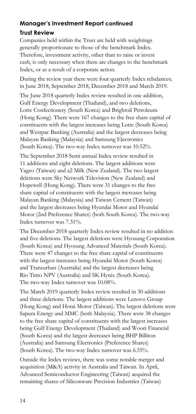# **Manager's Investment Report continued**

## **Trust Review**

Companies held within the Trust are held with weightings generally proportionate to those of the benchmark Index. Therefore, investment activity, other than to raise or invest cash, is only necessary when there are changes to the benchmark Index, or as a result of a corporate action.

During the review year there were four quarterly Index rebalances; in June 2018, September 2018, December 2018 and March 2019.

The June 2018 quarterly Index review resulted in one addition, Gulf Energy Development (Thailand), and two deletions, Lotte Confectionery (South Korea) and Brightoil Petroleum (Hong Kong). There were 167 changes to the free share capital of constituents with the largest increases being Lotte (South Korea) and Westpac Banking (Australia) and the largest decreases being Malayan Banking (Malaysia) and Samsung Electronics (South Korea). The two-way Index turnover was 10.52%.

The September 2018 Semi annual Index review resulted in 11 additions and eight deletions. The largest additions were Yageo (Taiwan) and a2 Milk (New Zealand). The two largest deletions were Sky Network Television (New Zealand) and Hopewell (Hong Kong). There were 31 changes to the free share capital of constituents with the largest increases being Malayan Banking (Malaysia) and Taiwan Cement (Taiwan) and the largest decreases being Hyundai Motor and Hyundai Motor (2nd Preference Shares) (both South Korea). The two-way Index turnover was 7.31%.

The December 2018 quarterly Index review resulted in no addition and five deletions. The largest deletions were Hyosung Corporation (South Korea) and Hyosung Advanced Materials (South Korea). There were 47 changes to the free share capital of constituents with the largest increases being Hyundai Motor (South Korea) and Transurban (Australia) and the largest decreases being Rio Tinto NPV (Australia) and SK Hynix (South Korea). The two-way Index turnover was 10.08%.

The March 2019 quarterly Index review resulted in 30 additions and three deletions. The largest additions were Lenovo Group (Hong Kong) and Hotai Motor (Taiwan). The largest deletions were Sapura Energy and MMC (both Malaysia). There were 38 changes to the free share capital of constituents with the largest increases being Gulf Energy Development (Thailand) and Woori Financial (South Korea) and the largest decreases being BHP Billiton (Australia) and Samsung Electronics (Preference Shares) (South Korea). The two-way Index turnover was 6.55%.

Outside the Index reviews, there was some notable merger and acquisition (M&A) activity in Australia and Taiwan. In April, Advanced Semiconductor Engineering (Taiwan) acquired the remaining shares of Siliconware Precision Industries (Taiwan)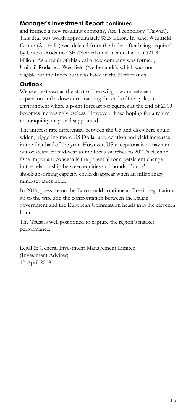# **Manager's Investment Report continued**

and formed a new resulting company, Ase Technology (Taiwan). This deal was worth approximately \$3.3 billion. In June, Westfield Group (Australia) was deleted from the Index after being acquired by Unibail-Rodamco SE (Netherlands) in a deal worth \$21.8 billion. As a result of this deal a new company was formed, Unibail-Rodamco-Westfield (Netherlands), which was not eligible for the Index as it was listed in the Netherlands.

# **Outlook**

We see next year as the start of the twilight zone between expansion and a downturn marking the end of the cycle; an environment where a point forecast for equities at the end of 2019 becomes increasingly useless. However, those hoping for a return to tranquility may be disappointed.

The interest rate differential between the US and elsewhere could widen, triggering more US Dollar appreciation and yield increases in the first half of the year. However, US exceptionalism may run out of steam by mid-year as the focus switches to 2020's election. One important concern is the potential for a persistent change in the relationship between equities and bonds. Bonds' shock-absorbing capacity could disappear when an inflationary mind-set takes hold.

In 2019, pressure on the Euro could continue as Brexit negotiations go to the wire and the confrontation between the Italian government and the European Commission heads into the eleventh hour.

The Trust is well positioned to capture the region's market performance.

Legal & General Investment Management Limited (Investment Adviser) 12 April 2019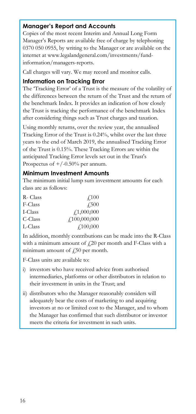## **Manager's Report and Accounts**

Copies of the most recent Interim and Annual Long Form Manager's Reports are available free of charge by telephoning 0370 050 0955, by writing to the Manager or are available on the internet at www.legalandgeneral.com/investments/fundinformation/managers-reports.

Call charges will vary. We may record and monitor calls.

### **Information on Tracking Error**

The 'Tracking Error' of a Trust is the measure of the volatility of the differences between the return of the Trust and the return of the benchmark Index. It provides an indication of how closely the Trust is tracking the performance of the benchmark Index after considering things such as Trust charges and taxation.

Using monthly returns, over the review year, the annualised Tracking Error of the Trust is 0.24%, whilst over the last three years to the end of March 2019, the annualised Tracking Error of the Trust is 0.15%. These Tracking Errors are within the anticipated Tracking Error levels set out in the Trust's Prospectus of  $+/-0.50%$  per annum.

## **Minimum Investment Amounts**

The minimum initial lump sum investment amounts for each class are as follows:

| R- Class | $\sqrt{100}$     |
|----------|------------------|
| F-Class  | $\sqrt{.500}$    |
| I-Class  | f1,000,000       |
| C-Class  | f100,000,000     |
| L-Class  | $\angle 100,000$ |

In addition, monthly contributions can be made into the R-Class with a minimum amount of  $f(20)$  per month and F-Class with a minimum amount of  $\angle 50$  per month.

F-Class units are available to:

- i) investors who have received advice from authorised intermediaries, platforms or other distributors in relation to their investment in units in the Trust; and
- ii) distributors who the Manager reasonably considers will adequately bear the costs of marketing to and acquiring investors at no or limited cost to the Manager, and to whom the Manager has confirmed that such distributor or investor meets the criteria for investment in such units.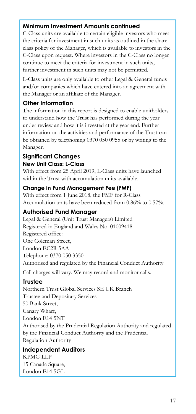## **Minimum Investment Amounts continued**

C-Class units are available to certain eligible investors who meet the criteria for investment in such units as outlined in the share class policy of the Manager, which is available to investors in the C-Class upon request. Where investors in the C-Class no longer continue to meet the criteria for investment in such units, further investment in such units may not be permitted.

L-Class units are only available to other Legal & General funds and/or companies which have entered into an agreement with the Manager or an affiliate of the Manager.

## **Other Information**

The information in this report is designed to enable unitholders to understand how the Trust has performed during the year under review and how it is invested at the year end. Further information on the activities and performance of the Trust can be obtained by telephoning 0370 050 0955 or by writing to the Manager.

### **Significant Changes New Unit Class: L-Class**

With effect from 25 April 2019, L-Class units have launched within the Trust with accumulation units available.

## **Change in Fund Management Fee (FMF)**

With effect from 1 June 2018, the FMF for R-Class Accumulation units have been reduced from 0.86% to 0.57%.

# **Authorised Fund Manager**

Legal & General (Unit Trust Managers) Limited Registered in England and Wales No. 01009418 Registered office: One Coleman Street, London EC2R 5AA Telephone: 0370 050 3350 Authorised and regulated by the Financial Conduct Authority

Call charges will vary. We may record and monitor calls.

# **Trustee**

Northern Trust Global Services SE UK Branch Trustee and Depositary Services 50 Bank Street, Canary Wharf, London E14 5NT Authorised by the Prudential Regulation Authority and regulated by the Financial Conduct Authority and the Prudential Regulation Authority

# **Independent Auditors**

KPMG LLP 15 Canada Square, London E14 5GL